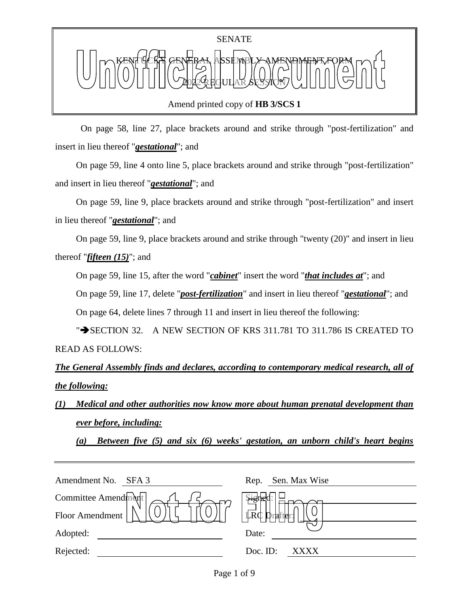Amend printed copy of **HB 3/SCS 1**

 On page 58, line 27, place brackets around and strike through "post-fertilization" and insert in lieu thereof "*gestational*"; and

On page 59, line 4 onto line 5, place brackets around and strike through "post-fertilization" and insert in lieu thereof "*gestational*"; and

On page 59, line 9, place brackets around and strike through "post-fertilization" and insert in lieu thereof "*gestational*"; and

On page 59, line 9, place brackets around and strike through "twenty (20)" and insert in lieu thereof "*fifteen (15)*"; and

On page 59, line 15, after the word "*cabinet*" insert the word "*that includes at*"; and

On page 59, line 17, delete "*post-fertilization*" and insert in lieu thereof "*gestational*"; and

On page 64, delete lines 7 through 11 and insert in lieu thereof the following:

" $\rightarrow$  SECTION 32. A NEW SECTION OF KRS 311.781 TO 311.786 IS CREATED TO READ AS FOLLOWS:

*The General Assembly finds and declares, according to contemporary medical research, all of the following:*

*(1) Medical and other authorities now know more about human prenatal development than ever before, including:*

*(a) Between five (5) and six (6) weeks' gestation, an unborn child's heart begins* 

| Amendment No.<br>SFA 3 | Sen. Max Wise<br>Rep.           |
|------------------------|---------------------------------|
| Committee Amendment    |                                 |
| Floor Amendment        | $\overrightarrow{LRC}$ Drafter: |
| Adopted:               | Date:                           |
| Rejected:              | Doc. ID:<br>XXXX                |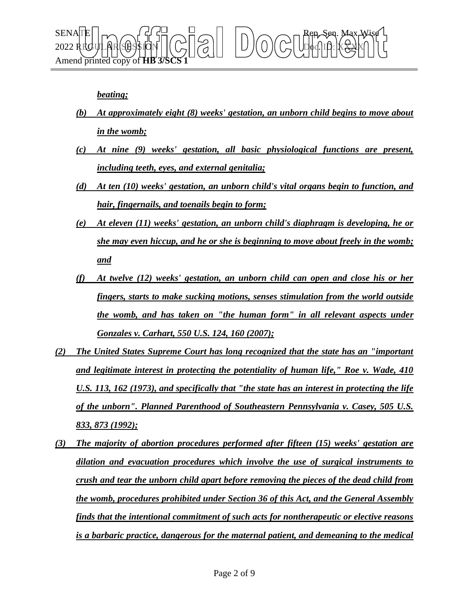

## *beating;*

- *(b) At approximately eight (8) weeks' gestation, an unborn child begins to move about in the womb;*
- *(c) At nine (9) weeks' gestation, all basic physiological functions are present, including teeth, eyes, and external genitalia;*
- *(d) At ten (10) weeks' gestation, an unborn child's vital organs begin to function, and hair, fingernails, and toenails begin to form;*
- *(e) At eleven (11) weeks' gestation, an unborn child's diaphragm is developing, he or she may even hiccup, and he or she is beginning to move about freely in the womb; and*
- *(f) At twelve (12) weeks' gestation, an unborn child can open and close his or her fingers, starts to make sucking motions, senses stimulation from the world outside the womb, and has taken on "the human form" in all relevant aspects under Gonzales v. Carhart, 550 U.S. 124, 160 (2007);*
- *(2) The United States Supreme Court has long recognized that the state has an "important and legitimate interest in protecting the potentiality of human life," Roe v. Wade, 410 U.S. 113, 162 (1973), and specifically that "the state has an interest in protecting the life of the unborn". Planned Parenthood of Southeastern Pennsylvania v. Casey, 505 U.S. 833, 873 (1992);*
- *(3) The majority of abortion procedures performed after fifteen (15) weeks' gestation are dilation and evacuation procedures which involve the use of surgical instruments to crush and tear the unborn child apart before removing the pieces of the dead child from the womb, procedures prohibited under Section 36 of this Act, and the General Assembly finds that the intentional commitment of such acts for nontherapeutic or elective reasons is a barbaric practice, dangerous for the maternal patient, and demeaning to the medical*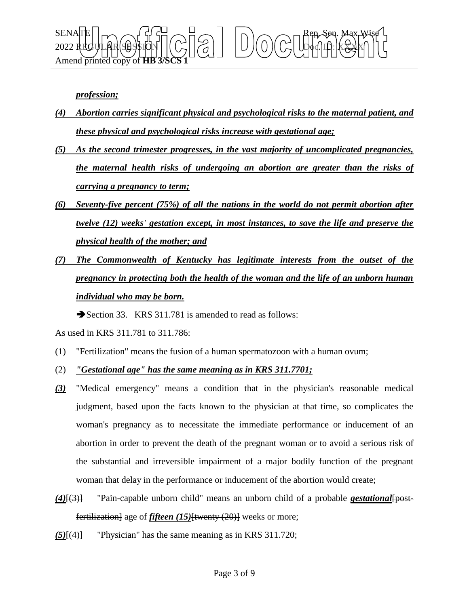

*profession;*

- *(4) Abortion carries significant physical and psychological risks to the maternal patient, and these physical and psychological risks increase with gestational age;*
- *(5) As the second trimester progresses, in the vast majority of uncomplicated pregnancies, the maternal health risks of undergoing an abortion are greater than the risks of carrying a pregnancy to term;*
- *(6) Seventy-five percent (75%) of all the nations in the world do not permit abortion after twelve (12) weeks' gestation except, in most instances, to save the life and preserve the physical health of the mother; and*
- *(7) The Commonwealth of Kentucky has legitimate interests from the outset of the pregnancy in protecting both the health of the woman and the life of an unborn human individual who may be born.*

Section 33. KRS 311.781 is amended to read as follows:

As used in KRS 311.781 to 311.786:

- (1) "Fertilization" means the fusion of a human spermatozoon with a human ovum;
- (2) *"Gestational age" has the same meaning as in KRS 311.7701;*
- *(3)* "Medical emergency" means a condition that in the physician's reasonable medical judgment, based upon the facts known to the physician at that time, so complicates the woman's pregnancy as to necessitate the immediate performance or inducement of an abortion in order to prevent the death of the pregnant woman or to avoid a serious risk of the substantial and irreversible impairment of a major bodily function of the pregnant woman that delay in the performance or inducement of the abortion would create;
- *(4)*[(3)] "Pain-capable unborn child" means an unborn child of a probable *gestational*[postfertilization] age of *fifteen (15)*[twenty (20)] weeks or more;
- *(5)*[(4)] "Physician" has the same meaning as in KRS 311.720;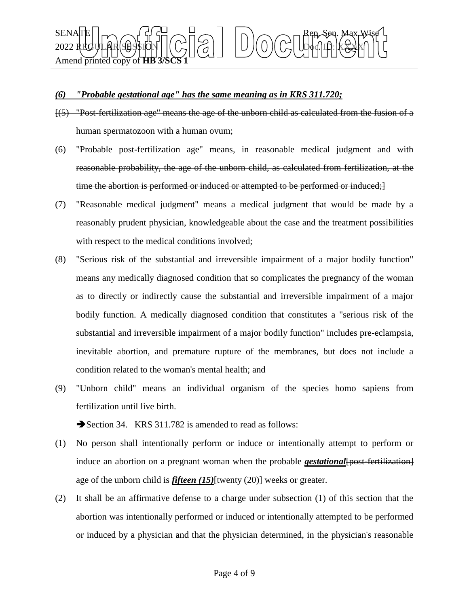## SENATE Rep. Sen. Max Wise 2022 REGULAR SESSION Doc. ID: XXXX Amend printed copy of **HB** 378

## *(6) "Probable gestational age" has the same meaning as in KRS 311.720;*

- [(5) "Post-fertilization age" means the age of the unborn child as calculated from the fusion of a human spermatozoon with a human ovum;
- (6) "Probable post-fertilization age" means, in reasonable medical judgment and with reasonable probability, the age of the unborn child, as calculated from fertilization, at the time the abortion is performed or induced or attempted to be performed or induced;  $\}$
- (7) "Reasonable medical judgment" means a medical judgment that would be made by a reasonably prudent physician, knowledgeable about the case and the treatment possibilities with respect to the medical conditions involved;
- (8) "Serious risk of the substantial and irreversible impairment of a major bodily function" means any medically diagnosed condition that so complicates the pregnancy of the woman as to directly or indirectly cause the substantial and irreversible impairment of a major bodily function. A medically diagnosed condition that constitutes a "serious risk of the substantial and irreversible impairment of a major bodily function" includes pre-eclampsia, inevitable abortion, and premature rupture of the membranes, but does not include a condition related to the woman's mental health; and
- (9) "Unborn child" means an individual organism of the species homo sapiens from fertilization until live birth.

Section 34. KRS 311.782 is amended to read as follows:

- (1) No person shall intentionally perform or induce or intentionally attempt to perform or induce an abortion on a pregnant woman when the probable *gestational* [post-fertilization] age of the unborn child is *fifteen (15)*[twenty (20)] weeks or greater.
- (2) It shall be an affirmative defense to a charge under subsection (1) of this section that the abortion was intentionally performed or induced or intentionally attempted to be performed or induced by a physician and that the physician determined, in the physician's reasonable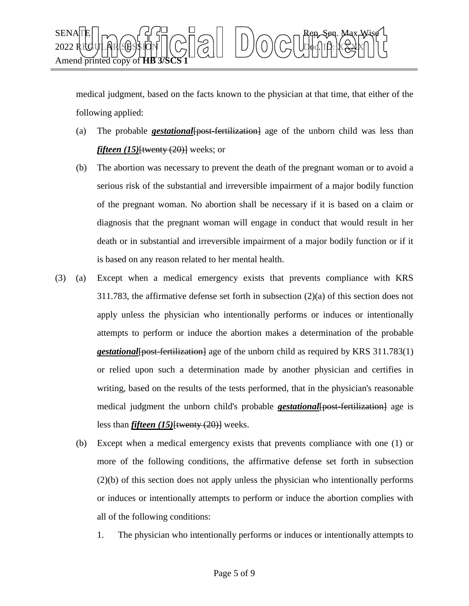

medical judgment, based on the facts known to the physician at that time, that either of the following applied:

- (a) The probable *gestational*[post-fertilization] age of the unborn child was less than *fifteen (15)*<del>[twenty (20)]</del> weeks; or
- (b) The abortion was necessary to prevent the death of the pregnant woman or to avoid a serious risk of the substantial and irreversible impairment of a major bodily function of the pregnant woman. No abortion shall be necessary if it is based on a claim or diagnosis that the pregnant woman will engage in conduct that would result in her death or in substantial and irreversible impairment of a major bodily function or if it is based on any reason related to her mental health.
- (3) (a) Except when a medical emergency exists that prevents compliance with KRS 311.783, the affirmative defense set forth in subsection (2)(a) of this section does not apply unless the physician who intentionally performs or induces or intentionally attempts to perform or induce the abortion makes a determination of the probable *gestational* [post-fertilization] age of the unborn child as required by KRS 311.783(1) or relied upon such a determination made by another physician and certifies in writing, based on the results of the tests performed, that in the physician's reasonable medical judgment the unborn child's probable *gestational*[post-fertilization] age is less than *fifteen (15)*[twenty (20)] weeks.
	- (b) Except when a medical emergency exists that prevents compliance with one (1) or more of the following conditions, the affirmative defense set forth in subsection (2)(b) of this section does not apply unless the physician who intentionally performs or induces or intentionally attempts to perform or induce the abortion complies with all of the following conditions:
		- 1. The physician who intentionally performs or induces or intentionally attempts to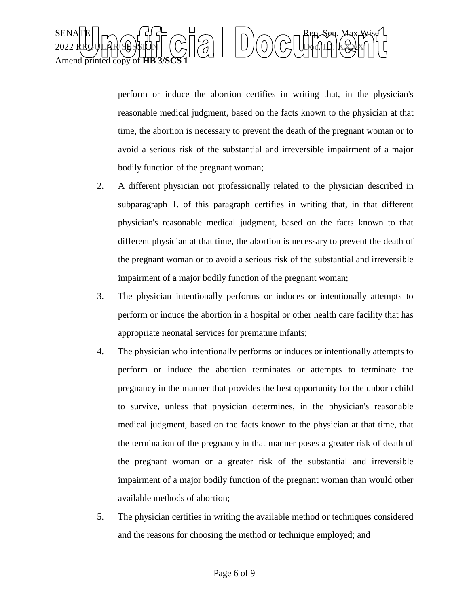

perform or induce the abortion certifies in writing that, in the physician's reasonable medical judgment, based on the facts known to the physician at that time, the abortion is necessary to prevent the death of the pregnant woman or to avoid a serious risk of the substantial and irreversible impairment of a major bodily function of the pregnant woman;

- 2. A different physician not professionally related to the physician described in subparagraph 1. of this paragraph certifies in writing that, in that different physician's reasonable medical judgment, based on the facts known to that different physician at that time, the abortion is necessary to prevent the death of the pregnant woman or to avoid a serious risk of the substantial and irreversible impairment of a major bodily function of the pregnant woman;
- 3. The physician intentionally performs or induces or intentionally attempts to perform or induce the abortion in a hospital or other health care facility that has appropriate neonatal services for premature infants;
- 4. The physician who intentionally performs or induces or intentionally attempts to perform or induce the abortion terminates or attempts to terminate the pregnancy in the manner that provides the best opportunity for the unborn child to survive, unless that physician determines, in the physician's reasonable medical judgment, based on the facts known to the physician at that time, that the termination of the pregnancy in that manner poses a greater risk of death of the pregnant woman or a greater risk of the substantial and irreversible impairment of a major bodily function of the pregnant woman than would other available methods of abortion;
- 5. The physician certifies in writing the available method or techniques considered and the reasons for choosing the method or technique employed; and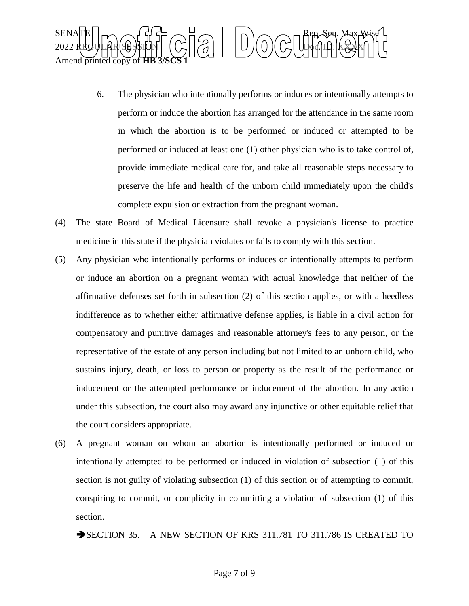

- 6. The physician who intentionally performs or induces or intentionally attempts to perform or induce the abortion has arranged for the attendance in the same room in which the abortion is to be performed or induced or attempted to be performed or induced at least one (1) other physician who is to take control of, provide immediate medical care for, and take all reasonable steps necessary to preserve the life and health of the unborn child immediately upon the child's complete expulsion or extraction from the pregnant woman.
- (4) The state Board of Medical Licensure shall revoke a physician's license to practice medicine in this state if the physician violates or fails to comply with this section.
- (5) Any physician who intentionally performs or induces or intentionally attempts to perform or induce an abortion on a pregnant woman with actual knowledge that neither of the affirmative defenses set forth in subsection (2) of this section applies, or with a heedless indifference as to whether either affirmative defense applies, is liable in a civil action for compensatory and punitive damages and reasonable attorney's fees to any person, or the representative of the estate of any person including but not limited to an unborn child, who sustains injury, death, or loss to person or property as the result of the performance or inducement or the attempted performance or inducement of the abortion. In any action under this subsection, the court also may award any injunctive or other equitable relief that the court considers appropriate.
- (6) A pregnant woman on whom an abortion is intentionally performed or induced or intentionally attempted to be performed or induced in violation of subsection (1) of this section is not guilty of violating subsection (1) of this section or of attempting to commit, conspiring to commit, or complicity in committing a violation of subsection (1) of this section.

SECTION 35. A NEW SECTION OF KRS 311.781 TO 311.786 IS CREATED TO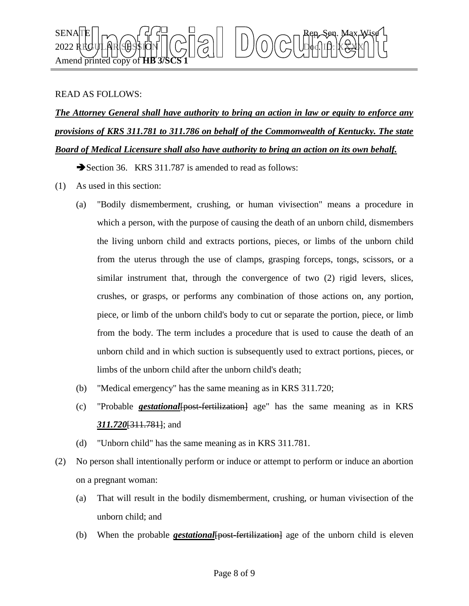

## READ AS FOLLOWS:

*The Attorney General shall have authority to bring an action in law or equity to enforce any provisions of KRS 311.781 to 311.786 on behalf of the Commonwealth of Kentucky. The state Board of Medical Licensure shall also have authority to bring an action on its own behalf.*

Section 36. KRS 311.787 is amended to read as follows:

- (1) As used in this section:
	- (a) "Bodily dismemberment, crushing, or human vivisection" means a procedure in which a person, with the purpose of causing the death of an unborn child, dismembers the living unborn child and extracts portions, pieces, or limbs of the unborn child from the uterus through the use of clamps, grasping forceps, tongs, scissors, or a similar instrument that, through the convergence of two (2) rigid levers, slices, crushes, or grasps, or performs any combination of those actions on, any portion, piece, or limb of the unborn child's body to cut or separate the portion, piece, or limb from the body. The term includes a procedure that is used to cause the death of an unborn child and in which suction is subsequently used to extract portions, pieces, or limbs of the unborn child after the unborn child's death;
	- (b) "Medical emergency" has the same meaning as in KRS 311.720;
	- (c) "Probable *gestational*[post-fertilization] age" has the same meaning as in KRS *311.720*[311.781]; and
	- (d) "Unborn child" has the same meaning as in KRS 311.781.
- (2) No person shall intentionally perform or induce or attempt to perform or induce an abortion on a pregnant woman:
	- (a) That will result in the bodily dismemberment, crushing, or human vivisection of the unborn child; and
	- (b) When the probable *gestational*[post-fertilization] age of the unborn child is eleven